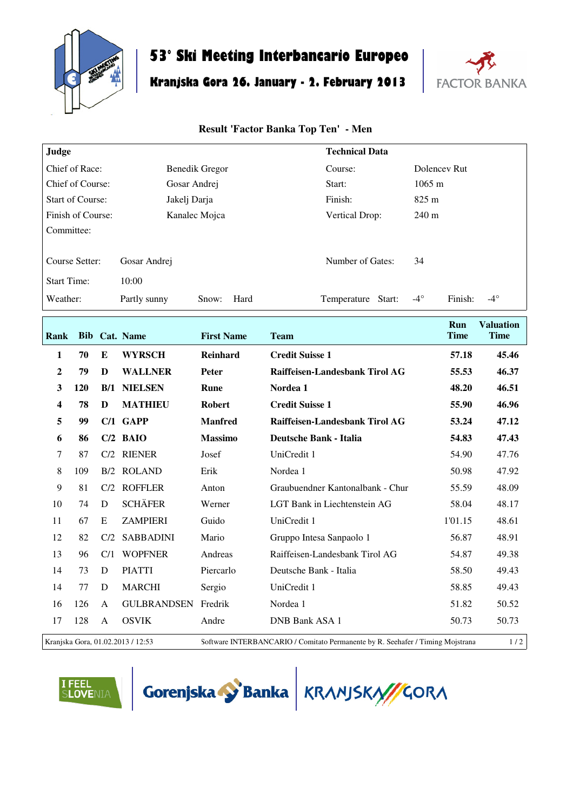

 $\Gamma$ 

## **53° Ski Meeting Interbancario Europeo**

## **Kranjska Gora 26. January - 2. February 2013**



## **Result 'Factor Banka Top Ten' - Men**

| Judge                   |                               | <b>Technical Data</b> |                                     |
|-------------------------|-------------------------------|-----------------------|-------------------------------------|
| Chief of Race:          | Benedik Gregor                | Course:               | Dolencey Rut                        |
| Chief of Course:        | Gosar Andrej                  | Start:                | $1065 \text{ m}$                    |
| <b>Start of Course:</b> | Jakelj Darja                  | Finish:               | $825 \text{ m}$                     |
| Finish of Course:       | Kanalec Mojca                 | Vertical Drop:        | $240 \text{ m}$                     |
| Committee:              |                               |                       |                                     |
| Course Setter:          | Gosar Andrej                  | Number of Gates:      | 34                                  |
| <b>Start Time:</b>      | 10:00                         |                       |                                     |
| Weather:                | Hard<br>Partly sunny<br>Snow: | Start:<br>Temperature | $-4^\circ$<br>$-4^\circ$<br>Finish: |

| Rank           | <b>Bib</b> |              | Cat. Name          | <b>First Name</b> | <b>Team</b>                      | Run<br><b>Time</b> | <b>Valuation</b><br><b>Time</b> |
|----------------|------------|--------------|--------------------|-------------------|----------------------------------|--------------------|---------------------------------|
| $\mathbf{1}$   | 70         | E            | <b>WYRSCH</b>      | <b>Reinhard</b>   | <b>Credit Suisse 1</b>           | 57.18              | 45.46                           |
| $\overline{2}$ | 79         | D            | <b>WALLNER</b>     | Peter             | Raiffeisen-Landesbank Tirol AG   | 55.53              | 46.37                           |
| 3              | 120        | B/1          | <b>NIELSEN</b>     | Rune              | Nordea 1                         | 48.20              | 46.51                           |
| 4              | 78         | D            | <b>MATHIEU</b>     | <b>Robert</b>     | <b>Credit Suisse 1</b>           | 55.90              | 46.96                           |
| 5              | 99         |              | $C/1$ GAPP         | <b>Manfred</b>    | Raiffeisen-Landesbank Tirol AG   | 53.24              | 47.12                           |
| 6              | 86         |              | $C/2$ BAIO         | <b>Massimo</b>    | <b>Deutsche Bank - Italia</b>    | 54.83              | 47.43                           |
| 7              | 87         | C/2          | <b>RIENER</b>      | Josef             | UniCredit 1                      | 54.90              | 47.76                           |
| 8              | 109        | B/2          | <b>ROLAND</b>      | Erik              | Nordea 1                         | 50.98              | 47.92                           |
| 9              | 81         | C/2          | <b>ROFFLER</b>     | Anton             | Graubuendner Kantonalbank - Chur | 55.59              | 48.09                           |
| 10             | 74         | D            | <b>SCHÄFER</b>     | Werner            | LGT Bank in Liechtenstein AG     | 58.04              | 48.17                           |
| 11             | 67         | E            | <b>ZAMPIERI</b>    | Guido             | UniCredit 1                      | 1'01.15            | 48.61                           |
| 12             | 82         | C/2          | <b>SABBADINI</b>   | Mario             | Gruppo Intesa Sanpaolo 1         | 56.87              | 48.91                           |
| 13             | 96         | C/1          | <b>WOPFNER</b>     | Andreas           | Raiffeisen-Landesbank Tirol AG   | 54.87              | 49.38                           |
| 14             | 73         | D            | <b>PIATTI</b>      | Piercarlo         | Deutsche Bank - Italia           | 58.50              | 49.43                           |
| 14             | 77         | D            | <b>MARCHI</b>      | Sergio            | UniCredit 1                      | 58.85              | 49.43                           |
| 16             | 126        | A            | <b>GULBRANDSEN</b> | Fredrik           | Nordea 1                         | 51.82              | 50.52                           |
| 17             | 128        | $\mathsf{A}$ | <b>OSVIK</b>       | Andre             | DNB Bank ASA 1                   | 50.73              | 50.73                           |

Kranjska Gora, 01.02.2013 / 12:53 Software INTERBANCARIO / Comitato Permanente by R. Seehafer / Timing Mojstrana 1 / 2